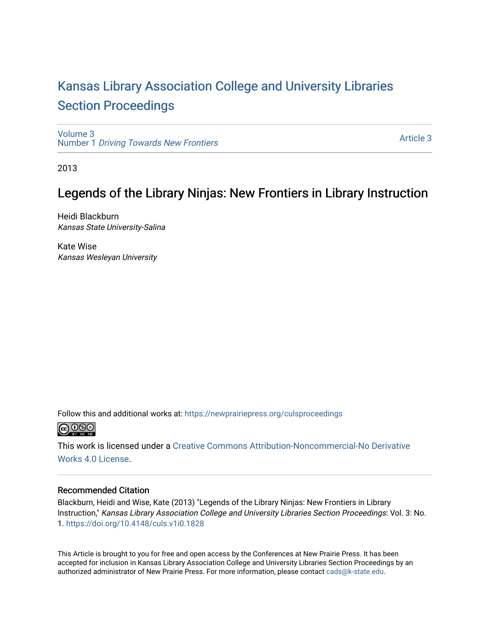# [Kansas Library Association College and University Libraries](https://newprairiepress.org/culsproceedings)  [Section Proceedings](https://newprairiepress.org/culsproceedings)

[Volume 3](https://newprairiepress.org/culsproceedings/vol3) Number 1 [Driving Towards New Frontiers](https://newprairiepress.org/culsproceedings/vol3/iss1)

[Article 3](https://newprairiepress.org/culsproceedings/vol3/iss1/3) 

2013

## Legends of the Library Ninjas: New Frontiers in Library Instruction

Heidi Blackburn Kansas State University-Salina

Kate Wise Kansas Wesleyan University

Follow this and additional works at: [https://newprairiepress.org/culsproceedings](https://newprairiepress.org/culsproceedings?utm_source=newprairiepress.org%2Fculsproceedings%2Fvol3%2Fiss1%2F3&utm_medium=PDF&utm_campaign=PDFCoverPages)



This work is licensed under a [Creative Commons Attribution-Noncommercial-No Derivative](https://creativecommons.org/licenses/by-nc-nd/4.0/)  [Works 4.0 License](https://creativecommons.org/licenses/by-nc-nd/4.0/).

#### Recommended Citation

Blackburn, Heidi and Wise, Kate (2013) "Legends of the Library Ninjas: New Frontiers in Library Instruction," Kansas Library Association College and University Libraries Section Proceedings: Vol. 3: No. 1. <https://doi.org/10.4148/culs.v1i0.1828>

This Article is brought to you for free and open access by the Conferences at New Prairie Press. It has been accepted for inclusion in Kansas Library Association College and University Libraries Section Proceedings by an authorized administrator of New Prairie Press. For more information, please contact [cads@k-state.edu.](mailto:cads@k-state.edu)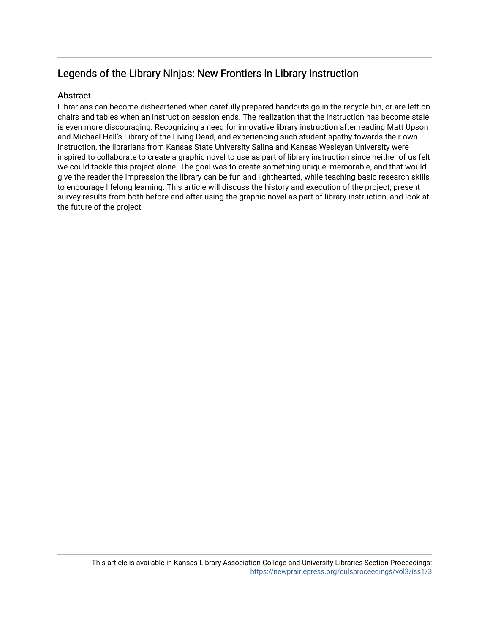## Legends of the Library Ninjas: New Frontiers in Library Instruction

#### **Abstract**

Librarians can become disheartened when carefully prepared handouts go in the recycle bin, or are left on chairs and tables when an instruction session ends. The realization that the instruction has become stale is even more discouraging. Recognizing a need for innovative library instruction after reading Matt Upson and Michael Hall's Library of the Living Dead, and experiencing such student apathy towards their own instruction, the librarians from Kansas State University Salina and Kansas Wesleyan University were inspired to collaborate to create a graphic novel to use as part of library instruction since neither of us felt we could tackle this project alone. The goal was to create something unique, memorable, and that would give the reader the impression the library can be fun and lighthearted, while teaching basic research skills to encourage lifelong learning. This article will discuss the history and execution of the project, present survey results from both before and after using the graphic novel as part of library instruction, and look at the future of the project.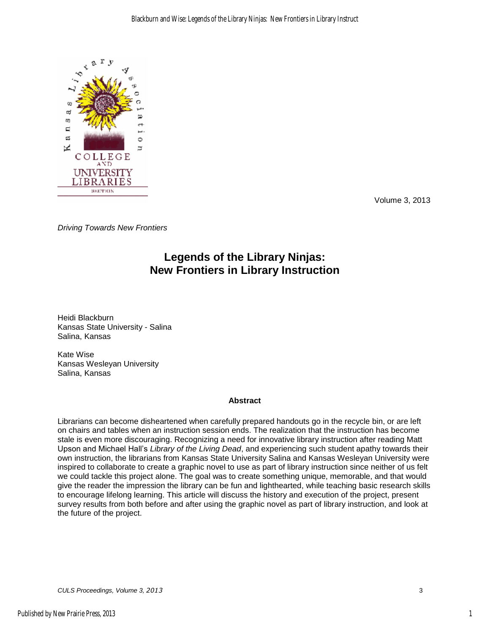

Volume 3, 2013

*Driving Towards New Frontiers* 

### **Legends of the Library Ninjas: New Frontiers in Library Instruction**

Heidi Blackburn Kansas State University - Salina Salina, Kansas

Kate Wise Kansas Wesleyan University Salina, Kansas

#### **Abstract**

Librarians can become disheartened when carefully prepared handouts go in the recycle bin, or are left on chairs and tables when an instruction session ends. The realization that the instruction has become stale is even more discouraging. Recognizing a need for innovative library instruction after reading Matt Upson and Michael Hall's *Library of the Living Dead*, and experiencing such student apathy towards their own instruction, the librarians from Kansas State University Salina and Kansas Wesleyan University were inspired to collaborate to create a graphic novel to use as part of library instruction since neither of us felt we could tackle this project alone. The goal was to create something unique, memorable, and that would give the reader the impression the library can be fun and lighthearted, while teaching basic research skills to encourage lifelong learning. This article will discuss the history and execution of the project, present survey results from both before and after using the graphic novel as part of library instruction, and look at the future of the project.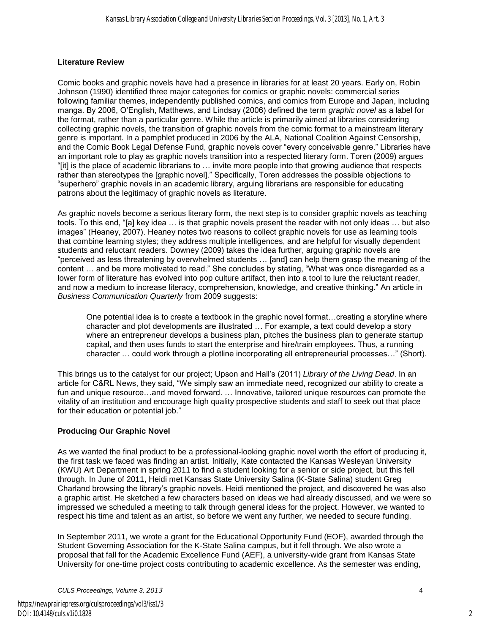#### **Literature Review**

Comic books and graphic novels have had a presence in libraries for at least 20 years. Early on, Robin Johnson (1990) identified three major categories for comics or graphic novels: commercial series following familiar themes, independently published comics, and comics from Europe and Japan, including manga. By 2006, O'English, Matthews, and Lindsay (2006) defined the term *graphic novel* as a label for the format, rather than a particular genre. While the article is primarily aimed at libraries considering collecting graphic novels, the transition of graphic novels from the comic format to a mainstream literary genre is important. In a pamphlet produced in 2006 by the ALA, National Coalition Against Censorship, and the Comic Book Legal Defense Fund, graphic novels cover "every conceivable genre." Libraries have an important role to play as graphic novels transition into a respected literary form. Toren (2009) argues "[it] is the place of academic librarians to … invite more people into that growing audience that respects rather than stereotypes the [graphic novel]." Specifically, Toren addresses the possible objections to "superhero" graphic novels in an academic library, arguing librarians are responsible for educating patrons about the legitimacy of graphic novels as literature.

As graphic novels become a serious literary form, the next step is to consider graphic novels as teaching tools. To this end, "[a] key idea … is that graphic novels present the reader with not only ideas … but also images" (Heaney, 2007). Heaney notes two reasons to collect graphic novels for use as learning tools that combine learning styles; they address multiple intelligences, and are helpful for visually dependent students and reluctant readers. Downey (2009) takes the idea further, arguing graphic novels are "perceived as less threatening by overwhelmed students … [and] can help them grasp the meaning of the content ... and be more motivated to read." She concludes by stating, "What was once disregarded as a lower form of literature has evolved into pop culture artifact, then into a tool to lure the reluctant reader, and now a medium to increase literacy, comprehension, knowledge, and creative thinking." An article in *Business Communication Quarterly* from 2009 suggests:

One potential idea is to create a textbook in the graphic novel format…creating a storyline where character and plot developments are illustrated … For example, a text could develop a story where an entrepreneur develops a business plan, pitches the business plan to generate startup capital, and then uses funds to start the enterprise and hire/train employees. Thus, a running character … could work through a plotline incorporating all entrepreneurial processes…" (Short).

This brings us to the catalyst for our project; Upson and Hall's (2011) *Library of the Living Dead*. In an article for C&RL News, they said, "We simply saw an immediate need, recognized our ability to create a fun and unique resource…and moved forward. … Innovative, tailored unique resources can promote the vitality of an institution and encourage high quality prospective students and staff to seek out that place for their education or potential job."

#### **Producing Our Graphic Novel**

As we wanted the final product to be a professional-looking graphic novel worth the effort of producing it, the first task we faced was finding an artist. Initially, Kate contacted the Kansas Wesleyan University (KWU) Art Department in spring 2011 to find a student looking for a senior or side project, but this fell through. In June of 2011, Heidi met Kansas State University Salina (K-State Salina) student Greg Charland browsing the library's graphic novels. Heidi mentioned the project, and discovered he was also a graphic artist. He sketched a few characters based on ideas we had already discussed, and we were so impressed we scheduled a meeting to talk through general ideas for the project. However, we wanted to respect his time and talent as an artist, so before we went any further, we needed to secure funding.

In September 2011, we wrote a grant for the Educational Opportunity Fund (EOF), awarded through the Student Governing Association for the K-State Salina campus, but it fell through. We also wrote a proposal that fall for the Academic Excellence Fund (AEF), a university-wide grant from Kansas State University for one-time project costs contributing to academic excellence. As the semester was ending,

*CULS Proceedings, Volume 3, 2013* 4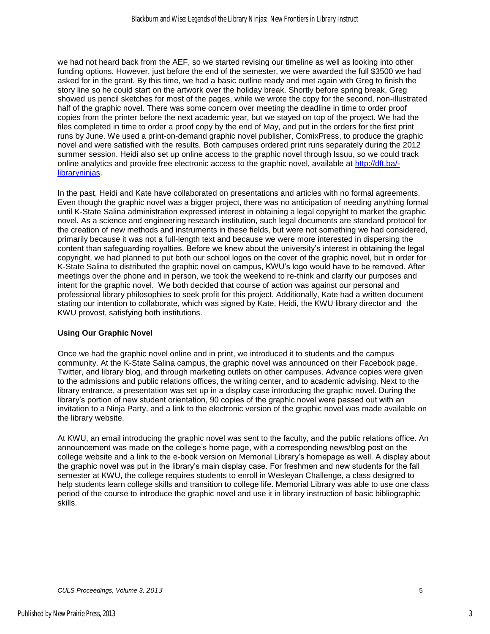we had not heard back from the AEF, so we started revising our timeline as well as looking into other funding options. However, just before the end of the semester, we were awarded the full \$3500 we had asked for in the grant. By this time, we had a basic outline ready and met again with Greg to finish the story line so he could start on the artwork over the holiday break. Shortly before spring break, Greg showed us pencil sketches for most of the pages, while we wrote the copy for the second, non-illustrated half of the graphic novel. There was some concern over meeting the deadline in time to order proof copies from the printer before the next academic year, but we stayed on top of the project. We had the files completed in time to order a proof copy by the end of May, and put in the orders for the first print runs by June. We used a print-on-demand graphic novel publisher, ComixPress, to produce the graphic novel and were satisfied with the results. Both campuses ordered print runs separately during the 2012 summer session. Heidi also set up online access to the graphic novel through Issuu, so we could track online analytics and provide free electronic access to the graphic novel, available at [http://dft.ba/](http://dft.ba/-libraryninjas) [libraryninjas.](http://dft.ba/-libraryninjas)

In the past, Heidi and Kate have collaborated on presentations and articles with no formal agreements. Even though the graphic novel was a bigger project, there was no anticipation of needing anything formal until K-State Salina administration expressed interest in obtaining a legal copyright to market the graphic novel. As a science and engineering research institution, such legal documents are standard protocol for the creation of new methods and instruments in these fields, but were not something we had considered, primarily because it was not a full-length text and because we were more interested in dispersing the content than safeguarding royalties. Before we knew about the university's interest in obtaining the legal copyright, we had planned to put both our school logos on the cover of the graphic novel, but in order for K-State Salina to distributed the graphic novel on campus, KWU's logo would have to be removed. After meetings over the phone and in person, we took the weekend to re-think and clarify our purposes and intent for the graphic novel. We both decided that course of action was against our personal and professional library philosophies to seek profit for this project. Additionally, Kate had a written document stating our intention to collaborate, which was signed by Kate, Heidi, the KWU library director and the KWU provost, satisfying both institutions.

#### **Using Our Graphic Novel**

Once we had the graphic novel online and in print, we introduced it to students and the campus community. At the K-State Salina campus, the graphic novel was announced on their Facebook page, Twitter, and library blog, and through marketing outlets on other campuses. Advance copies were given to the admissions and public relations offices, the writing center, and to academic advising. Next to the library entrance, a presentation was set up in a display case introducing the graphic novel. During the library's portion of new student orientation, 90 copies of the graphic novel were passed out with an invitation to a Ninja Party, and a link to the electronic version of the graphic novel was made available on the library website.

At KWU, an email introducing the graphic novel was sent to the faculty, and the public relations office. An announcement was made on the college's home page, with a corresponding news/blog post on the college website and a link to the e-book version on Memorial Library's homepage as well. A display about the graphic novel was put in the library's main display case. For freshmen and new students for the fall semester at KWU, the college requires students to enroll in Wesleyan Challenge, a class designed to help students learn college skills and transition to college life. Memorial Library was able to use one class period of the course to introduce the graphic novel and use it in library instruction of basic bibliographic skills.

3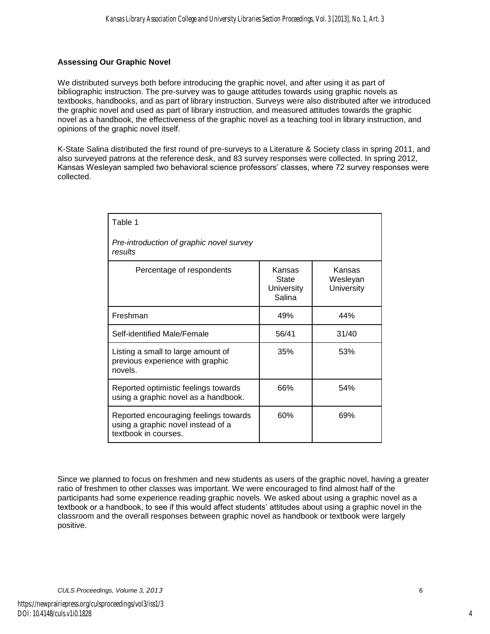#### **Assessing Our Graphic Novel**

We distributed surveys both before introducing the graphic novel, and after using it as part of bibliographic instruction. The pre-survey was to gauge attitudes towards using graphic novels as textbooks, handbooks, and as part of library instruction. Surveys were also distributed after we introduced the graphic novel and used as part of library instruction, and measured attitudes towards the graphic novel as a handbook, the effectiveness of the graphic novel as a teaching tool in library instruction, and opinions of the graphic novel itself.

K-State Salina distributed the first round of pre-surveys to a Literature & Society class in spring 2011, and also surveyed patrons at the reference desk, and 83 survey responses were collected. In spring 2012, Kansas Wesleyan sampled two behavioral science professors' classes, where 72 survey responses were collected.

| Table 1                                                                                             |                                         |                                  |
|-----------------------------------------------------------------------------------------------------|-----------------------------------------|----------------------------------|
| Pre-introduction of graphic novel survey<br>results                                                 |                                         |                                  |
| Percentage of respondents                                                                           | Kansas<br>State<br>University<br>Salina | Kansas<br>Wesleyan<br>University |
| Freshman                                                                                            | 49%                                     | 44%                              |
| Self-identified Male/Female                                                                         | 56/41                                   | 31/40                            |
| Listing a small to large amount of<br>previous experience with graphic<br>novels.                   | 35%                                     | 53%                              |
| Reported optimistic feelings towards<br>using a graphic novel as a handbook.                        | 66%                                     | 54%                              |
| Reported encouraging feelings towards<br>using a graphic novel instead of a<br>textbook in courses. | 60%                                     | 69%                              |

Since we planned to focus on freshmen and new students as users of the graphic novel, having a greater ratio of freshmen to other classes was important. We were encouraged to find almost half of the participants had some experience reading graphic novels. We asked about using a graphic novel as a textbook or a handbook, to see if this would affect students' attitudes about using a graphic novel in the classroom and the overall responses between graphic novel as handbook or textbook were largely positive.

*CULS Proceedings, Volume 3, 2013* 6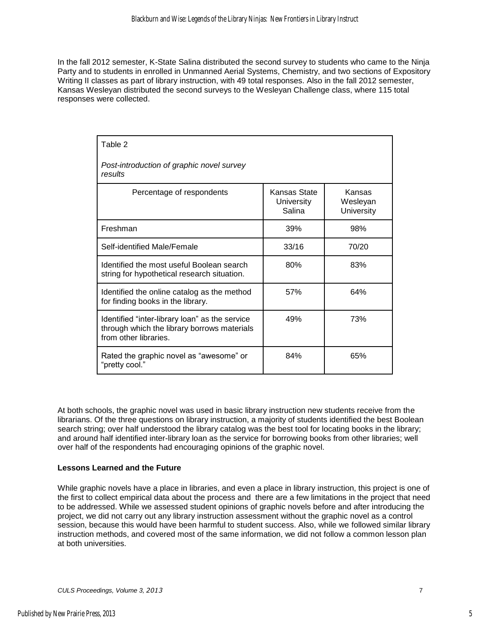In the fall 2012 semester, K-State Salina distributed the second survey to students who came to the Ninja Party and to students in enrolled in Unmanned Aerial Systems, Chemistry, and two sections of Expository Writing II classes as part of library instruction, with 49 total responses. Also in the fall 2012 semester, Kansas Wesleyan distributed the second surveys to the Wesleyan Challenge class, where 115 total responses were collected.

| Table 2                                                                                                                |                                      |                                         |  |
|------------------------------------------------------------------------------------------------------------------------|--------------------------------------|-----------------------------------------|--|
| Post-introduction of graphic novel survey<br>results                                                                   |                                      |                                         |  |
| Percentage of respondents                                                                                              | Kansas State<br>University<br>Salina | Kansas<br>Wesleyan<br><b>University</b> |  |
| Freshman                                                                                                               | 39%                                  | 98%                                     |  |
| Self-identified Male/Female                                                                                            | 33/16                                | 70/20                                   |  |
| Identified the most useful Boolean search<br>string for hypothetical research situation.                               | 80%                                  | 83%                                     |  |
| Identified the online catalog as the method<br>for finding books in the library.                                       | 57%                                  | 64%                                     |  |
| Identified "inter-library loan" as the service<br>through which the library borrows materials<br>from other libraries. | 49%                                  | 73%                                     |  |
| Rated the graphic novel as "awesome" or<br>"pretty cool."                                                              | 84%                                  | 65%                                     |  |

At both schools, the graphic novel was used in basic library instruction new students receive from the librarians. Of the three questions on library instruction, a majority of students identified the best Boolean search string; over half understood the library catalog was the best tool for locating books in the library; and around half identified inter-library loan as the service for borrowing books from other libraries; well over half of the respondents had encouraging opinions of the graphic novel.

#### **Lessons Learned and the Future**

While graphic novels have a place in libraries, and even a place in library instruction, this project is one of the first to collect empirical data about the process and there are a few limitations in the project that need to be addressed. While we assessed student opinions of graphic novels before and after introducing the project, we did not carry out any library instruction assessment without the graphic novel as a control session, because this would have been harmful to student success. Also, while we followed similar library instruction methods, and covered most of the same information, we did not follow a common lesson plan at both universities.